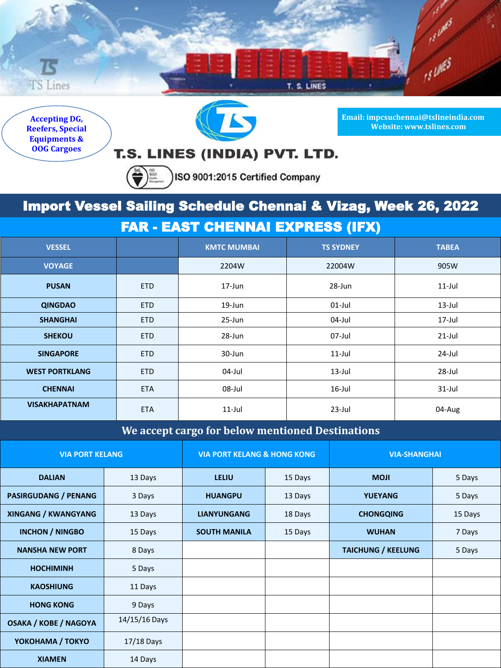

**Accepting DG, Reefers, Special Equipments & OOG Cargoes**



**Email: impcsuchennai@tslineindia.com Website: www.tslines.com**

## T.S. LINES (INDIA) PVT. LTD.

 $\left(\bigoplus_{n\geq 0}\right)_{n\geq 0}^{\infty}$ ISO 9001:2015 Certified Company

## Import Vessel Sailing Schedule Chennai & Vizag, Week 26, 2022

FAR - EAST CHENNAI EXPRESS (IFX)

| <b>VESSEL</b>         |            | <b>KMTC MUMBAI</b> | <b>TS SYDNEY</b> | <b>TABEA</b> |  |
|-----------------------|------------|--------------------|------------------|--------------|--|
| <b>VOYAGE</b>         |            | 2204W              | 22004W           | 905W         |  |
| <b>PUSAN</b>          | <b>ETD</b> | $17 - Jun$         | 28-Jun           | $11$ -Jul    |  |
| <b>QINGDAO</b>        | <b>ETD</b> | 19-Jun             | $01$ -Jul        | $13$ -Jul    |  |
| <b>SHANGHAI</b>       | <b>ETD</b> | 25-Jun             | 04-Jul           | 17-Jul       |  |
| <b>SHEKOU</b>         | <b>ETD</b> | 28-Jun             | 07-Jul           | $21$ -Jul    |  |
| <b>SINGAPORE</b>      | <b>ETD</b> | 30-Jun             | $11$ -Jul        | 24-Jul       |  |
| <b>WEST PORTKLANG</b> | <b>ETD</b> | 04-Jul             | $13$ -Jul        | 28-Jul       |  |
| <b>CHENNAI</b>        | <b>ETA</b> | 08-Jul             | $16$ -Jul        | $31$ -Jul    |  |
| <b>VISAKHAPATNAM</b>  | <b>ETA</b> | $11$ -Jul          | $23$ -Jul        | 04-Aug       |  |

## **We accept cargo for below mentioned Destinations**

| <b>VIA PORT KELANG</b>       |               | <b>VIA PORT KELANG &amp; HONG KONG</b> |         | <b>VIA-SHANGHAI</b>       |         |
|------------------------------|---------------|----------------------------------------|---------|---------------------------|---------|
| <b>DALIAN</b>                | 13 Days       | <b>LELIU</b>                           | 15 Days | <b>MOJI</b>               | 5 Days  |
| <b>PASIRGUDANG / PENANG</b>  | 3 Days        | <b>HUANGPU</b>                         | 13 Days | <b>YUEYANG</b>            | 5 Days  |
| <b>XINGANG / KWANGYANG</b>   | 13 Days       | <b>LIANYUNGANG</b>                     | 18 Days | <b>CHONGQING</b>          | 15 Days |
| <b>INCHON / NINGBO</b>       | 15 Days       | <b>SOUTH MANILA</b>                    | 15 Days | <b>WUHAN</b>              | 7 Days  |
| <b>NANSHA NEW PORT</b>       | 8 Days        |                                        |         | <b>TAICHUNG / KEELUNG</b> | 5 Days  |
| <b>HOCHIMINH</b>             | 5 Days        |                                        |         |                           |         |
| <b>KAOSHIUNG</b>             | 11 Days       |                                        |         |                           |         |
| <b>HONG KONG</b>             | 9 Days        |                                        |         |                           |         |
| <b>OSAKA / KOBE / NAGOYA</b> | 14/15/16 Days |                                        |         |                           |         |
| YOKOHAMA / TOKYO             | $17/18$ Days  |                                        |         |                           |         |
| <b>XIAMEN</b>                | 14 Days       |                                        |         |                           |         |